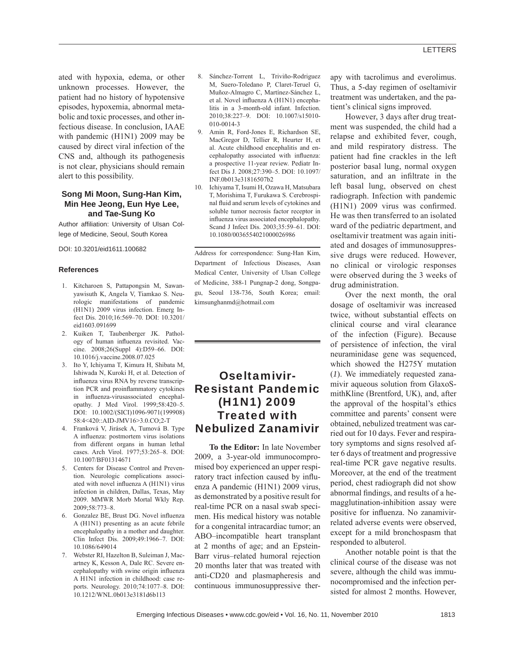### LETTERS

ated with hypoxia, edema, or other unknown processes. However, the patient had no history of hypotensive episodes, hypoxemia, abnormal metabolic and toxic processes, and other infectious disease. In conclusion, IAAE with pandemic (H1N1) 2009 may be caused by direct viral infection of the CNS and, although its pathogenesis is not clear, physicians should remain alert to this possibility.

#### **Song Mi Moon, Sung-Han Kim, Min Hee Jeong, Eun Hye Lee, and Tae-Sung Ko**

Author affiliation: University of Ulsan College of Medicine, Seoul, South Korea

DOI: 10.3201/eid1611.100682

#### **References**

- 1. Kitcharoen S, Pattapongsin M, Sawanyawisuth K, Angela V, Tiamkao S. Neurologic manifestations of pandemic (H1N1) 2009 virus infection. Emerg Infect Dis. 2010;16:569–70. DOI: 10.3201/ eid1603.091699
- 2. Kuiken T, Taubenberger JK. Pathology of human influenza revisited. Vaccine. 2008;26(Suppl 4):D59–66. DOI: 10.1016/j.vaccine.2008.07.025
- 3. Ito Y, Ichiyama T, Kimura H, Shibata M, Ishiwada N, Kuroki H, et al. Detection of influenza virus RNA by reverse transcription PCR and proinflammatory cytokines in influenza-virusassociated encephalopathy. J Med Virol. 1999;58:420–5. DOI: 10.1002/(SICI)1096-9071(199908) 58:4<420::AID-JMV16>3.0.CO;2-T
- 4. Franková V, Jirásek A, Tumová B. Type A influenza: postmortem virus isolations from different organs in human lethal cases. Arch Virol. 1977;53:265–8. DOI: 10.1007/BF01314671
- 5. Centers for Disease Control and Prevention. Neurologic complications associated with novel influenza A (H1N1) virus infection in children, Dallas, Texas, May 2009. MMWR Morb Mortal Wkly Rep. 2009;58:773–8.
- 6. Gonzalez BE, Brust DG. Novel influenza A (H1N1) presenting as an acute febrile encephalopathy in a mother and daughter. Clin Infect Dis. 2009;49:1966–7. DOI: 10.1086/649014
- 7. Webster RI, Hazelton B, Suleiman J, Macartney K, Kesson A, Dale RC. Severe encephalopathy with swine origin influenza A H1N1 infection in childhood: case reports. Neurology. 2010;74:1077–8. DOI: 10.1212/WNL.0b013e3181d6b113
- 8. Sánchez-Torrent L, Triviño-Rodriguez M, Suero-Toledano P, Claret-Teruel G, Muñoz-Almagro C, Martínez-Sánchez L, et al. Novel influenza A (H1N1) encephalitis in a 3-month-old infant. Infection. 2010;38:227–9. DOI: 10.1007/s15010- 010-0014-3
- 9. Amin R, Ford-Jones E, Richardson SE, MacGregor D, Tellier R, Heurter H, et al. Acute childhood encephalitis and encephalopathy associated with influenza: a prospective 11-year review. Pediatr Infect Dis J. 2008;27:390–5. DOI: 10.1097/ INF.0b013e31816507b2
- 10. Ichiyama T, Isumi H, Ozawa H, Matsubara T, Morishima T, Furukawa S. Cerebrospinal fluid and serum levels of cytokines and soluble tumor necrosis factor receptor in influenza virus associated encephalopathy. Scand J Infect Dis. 2003;35:59–61. DOI: 10.1080/0036554021000026986

Address for correspondence: Sung-Han Kim, Department of Infectious Diseases, Asan Medical Center, University of Ulsan College of Medicine, 388-1 Pungnap-2 dong, Songpagu, Seoul 138-736, South Korea; email: kimsunghanmd@hotmail.com

# Oseltamivir-Resistant Pandemic (H1N1) 2009 Treated with Nebulized Zanamivir

**To the Editor:** In late November 2009, a 3-year-old immunocompromised boy experienced an upper respiratory tract infection caused by influenza A pandemic (H1N1) 2009 virus, as demonstrated by a positive result for real-time PCR on a nasal swab specimen. His medical history was notable for a congenital intracardiac tumor; an ABO–incompatible heart transplant at 2 months of age; and an Epstein-Barr virus–related humoral rejection 20 months later that was treated with anti-CD20 and plasmapheresis and continuous immunosuppressive therapy with tacrolimus and everolimus. Thus, a 5-day regimen of oseltamivir treatment was undertaken, and the patient's clinical signs improved.

However, 3 days after drug treatment was suspended, the child had a relapse and exhibited fever, cough, and mild respiratory distress. The patient had fine crackles in the left posterior basal lung, normal oxygen saturation, and an infiltrate in the left basal lung, observed on chest radiograph. Infection with pandemic  $(H1N1)$  2009 virus was confirmed. He was then transferred to an isolated ward of the pediatric department, and oseltamivir treatment was again initiated and dosages of immunosuppressive drugs were reduced. However, no clinical or virologic responses were observed during the 3 weeks of drug administration.

Over the next month, the oral dosage of oseltamivir was increased twice, without substantial effects on clinical course and viral clearance of the infection (Figure). Because of persistence of infection, the viral neuraminidase gene was sequenced, which showed the H275Y mutation (*1*). We immediately requested zanamivir aqueous solution from GlaxoSmithKline (Brentford, UK), and, after the approval of the hospital's ethics committee and parents' consent were obtained, nebulized treatment was carried out for 10 days. Fever and respiratory symptoms and signs resolved after 6 days of treatment and progressive real-time PCR gave negative results. Moreover, at the end of the treatment period, chest radiograph did not show abnormal findings, and results of a hemagglutination-inhibition assay were positive for influenza. No zanamivirrelated adverse events were observed, except for a mild bronchospasm that responded to albuterol.

Another notable point is that the clinical course of the disease was not severe, although the child was immunocompromised and the infection persisted for almost 2 months. However,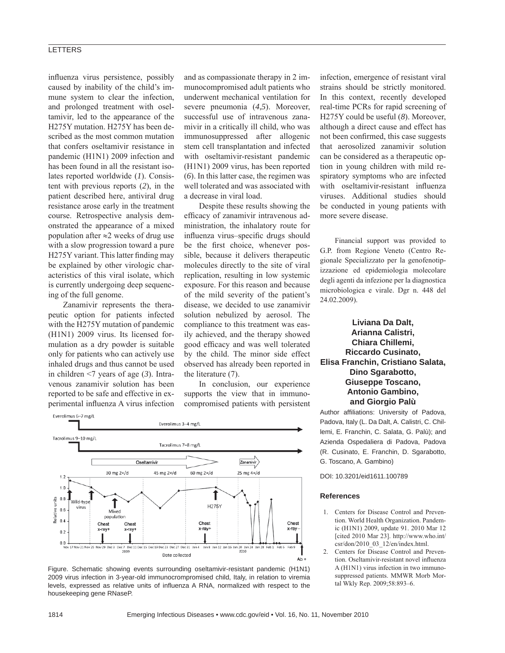### **LETTERS**

influenza virus persistence, possibly caused by inability of the child's immune system to clear the infection, and prolonged treatment with oseltamivir, led to the appearance of the H275Y mutation. H275Y has been described as the most common mutation that confers oseltamivir resistance in pandemic (H1N1) 2009 infection and has been found in all the resistant isolates reported worldwide (*1*). Consistent with previous reports (*2*), in the patient described here, antiviral drug resistance arose early in the treatment course. Retrospective analysis demonstrated the appearance of a mixed population after ≈2 weeks of drug use with a slow progression toward a pure H275Y variant. This latter finding may be explained by other virologic characteristics of this viral isolate, which is currently undergoing deep sequencing of the full genome.

Zanamivir represents the therapeutic option for patients infected with the H275Y mutation of pandemic (H1N1) 2009 virus. Its licensed formulation as a dry powder is suitable only for patients who can actively use inhaled drugs and thus cannot be used in children <7 years of age (*3*). Intravenous zanamivir solution has been reported to be safe and effective in experimental influenza A virus infection and as compassionate therapy in 2 immunocompromised adult patients who underwent mechanical ventilation for severe pneumonia (*4*,*5*). Moreover, successful use of intravenous zanamivir in a critically ill child, who was immunosuppressed after allogenic stem cell transplantation and infected with oseltamivir-resistant pandemic (H1N1) 2009 virus, has been reported (*6*). In this latter case, the regimen was well tolerated and was associated with a decrease in viral load.

Despite these results showing the efficacy of zanamivir intravenous administration, the inhalatory route for influenza virus-specific drugs should be the first choice, whenever possible, because it delivers therapeutic molecules directly to the site of viral replication, resulting in low systemic exposure. For this reason and because of the mild severity of the patient's disease, we decided to use zanamivir solution nebulized by aerosol. The compliance to this treatment was easily achieved, and the therapy showed good efficacy and was well tolerated by the child. The minor side effect observed has already been reported in the literature (7).

In conclusion, our experience supports the view that in immunocompromised patients with persistent



Figure. Schematic showing events surrounding oseltamivir-resistant pandemic (H1N1) 2009 virus infection in 3-year-old immunocrompromised child, Italy, in relation to viremia levels, expressed as relative units of influenza A RNA, normalized with respect to the housekeeping gene RNaseP.

infection, emergence of resistant viral strains should be strictly monitored. In this context, recently developed real-time PCRs for rapid screening of H275Y could be useful (*8*). Moreover, although a direct cause and effect has not been confirmed, this case suggests that aerosolized zanamivir solution can be considered as a therapeutic option in young children with mild respiratory symptoms who are infected with oseltamivir-resistant influenza viruses. Additional studies should be conducted in young patients with more severe disease.

Financial support was provided to G.P. from Regione Veneto (Centro Regionale Specializzato per la genofenotipizzazione ed epidemiologia molecolare degli agenti da infezione per la diagnostica microbiologica e virale. Dgr n. 448 del 24.02.2009).

**Liviana Da Dalt, Arianna Calistri, Chiara Chillemi, Riccardo Cusinato, Elisa Franchin, Cristiano Salata, Dino Sgarabotto, Giuseppe Toscano, Antonio Gambino, and Giorgio Palù**

Author affiliations: University of Padova, Padova, Italy (L. Da Dalt, A. Calistri, C. Chillemi, E. Franchin, C. Salata, G. Palù); and Azienda Ospedaliera di Padova, Padova (R. Cusinato, E. Franchin, D. Sgarabotto, G. Toscano, A. Gambino)

DOI: 10.3201/eid1611.100789

#### **References**

- 1. Centers for Disease Control and Prevention. World Health Organization. Pandemic (H1N1) 2009, update 91. 2010 Mar 12 [cited 2010 Mar 23]. http://www.who.int/ csr/don/2010\_03\_12/en/index.html.
- 2. Centers for Disease Control and Prevention. Oseltamivir-resistant novel influenza A (H1N1) virus infection in two immunosuppressed patients. MMWR Morb Mortal Wkly Rep. 2009;58:893–6.